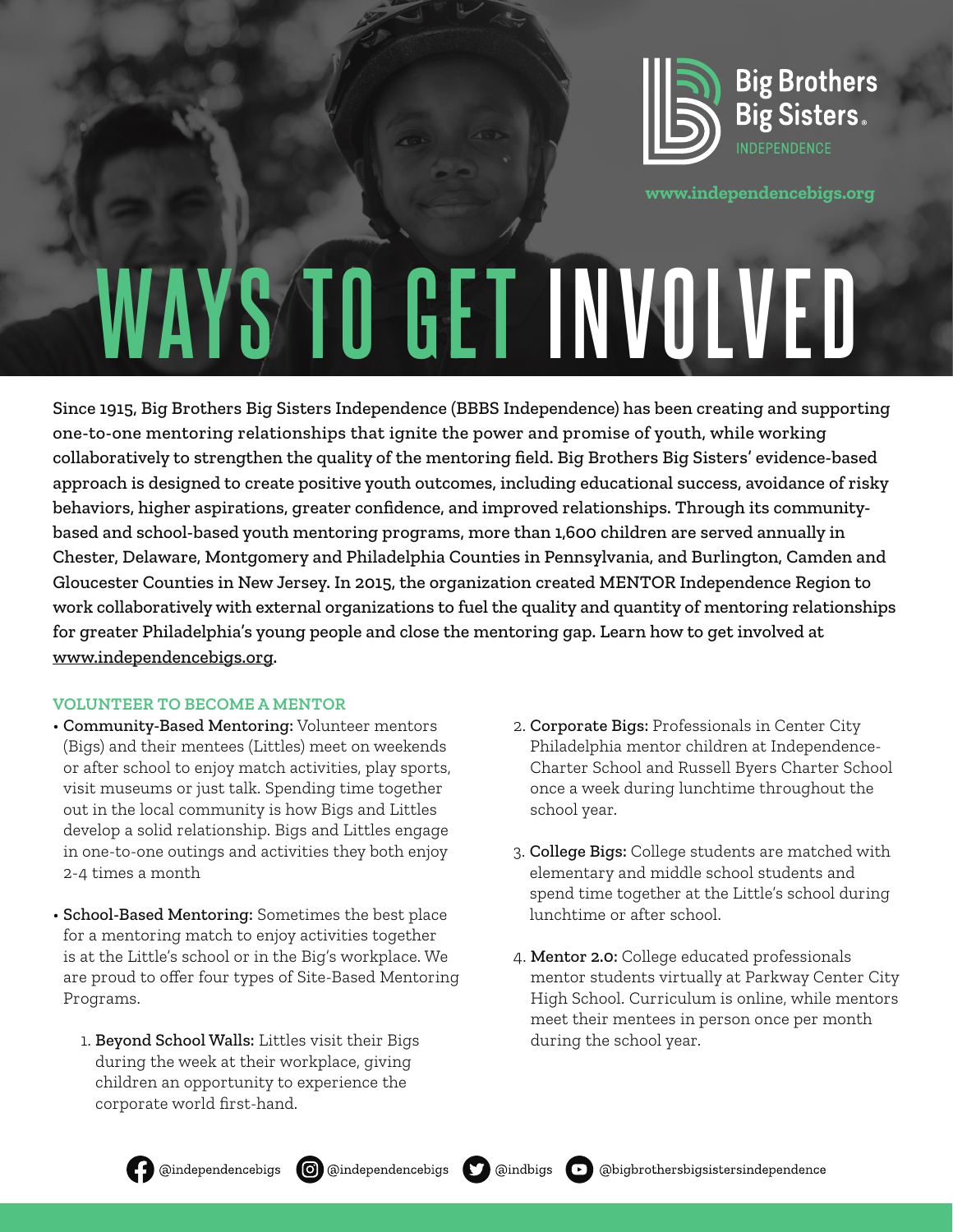

**www.independencebigs.org**

# **WAYS TO GET INVOLVED**

Since 1915, Big Brothers Big Sisters Independence (BBBS Independence) has been creating and supporting one-to-one mentoring relationships that ignite the power and promise of youth, while working collaboratively to strengthen the quality of the mentoring field. Big Brothers Big Sisters' evidence-based approach is designed to create positive youth outcomes, including educational success, avoidance of risky behaviors, higher aspirations, greater confidence, and improved relationships. Through its communitybased and school-based youth mentoring programs, more than 1,600 children are served annually in Chester, Delaware, Montgomery and Philadelphia Counties in Pennsylvania, and Burlington, Camden and Gloucester Counties in New Jersey. In 2015, the organization created MENTOR Independence Region to work collaboratively with external organizations to fuel the quality and quantity of mentoring relationships for greater Philadelphia's young people and close the mentoring gap. Learn how to get involved at www.independencebigs.org.

#### **VOLUNTEER TO BECOME A MENTOR**

- Community-Based Mentoring: Volunteer mentors (Bigs) and their mentees (Littles) meet on weekends or after school to enjoy match activities, play sports, visit museums or just talk. Spending time together out in the local community is how Bigs and Littles develop a solid relationship. Bigs and Littles engage in one-to-one outings and activities they both enjoy 2-4 times a month
- School-Based Mentoring: Sometimes the best place for a mentoring match to enjoy activities together is at the Little's school or in the Big's workplace. We are proud to offer four types of Site-Based Mentoring Programs.
	- 1. Beyond School Walls: Littles visit their Bigs during the week at their workplace, giving children an opportunity to experience the corporate world first-hand.
- 2. Corporate Bigs: Professionals in Center City Philadelphia mentor children at Independence-Charter School and Russell Byers Charter School once a week during lunchtime throughout the school year.
- 3. College Bigs: College students are matched with elementary and middle school students and spend time together at the Little's school during lunchtime or after school.
- 4. Mentor 2.0: College educated professionals mentor students virtually at Parkway Center City High School. Curriculum is online, while mentors meet their mentees in person once per month during the school year.



**O** @independencebigs